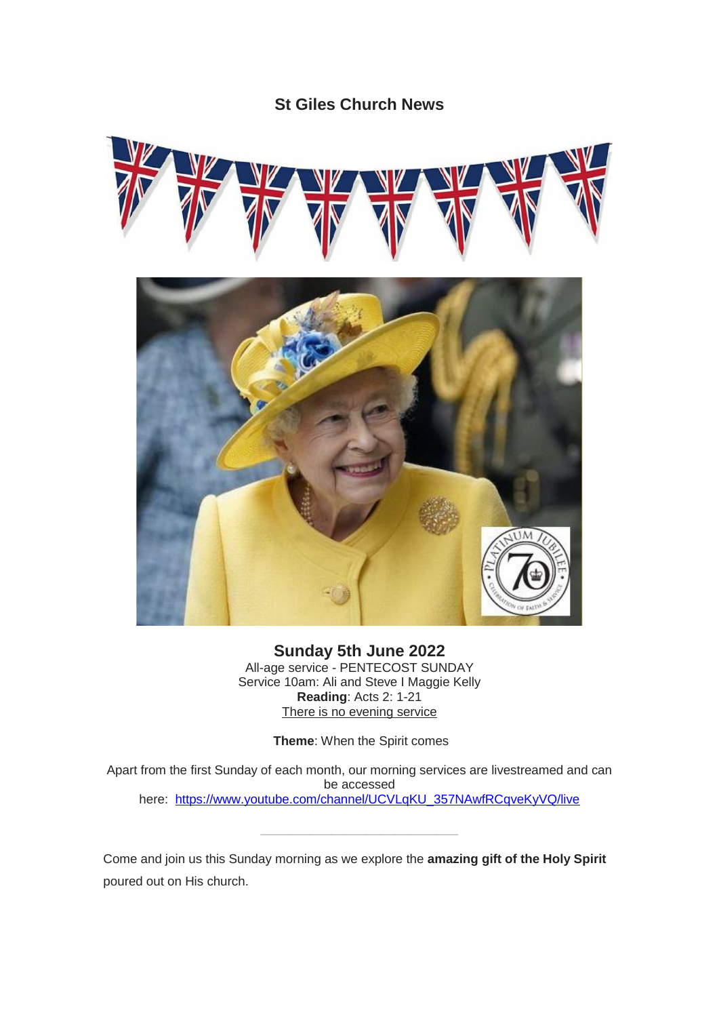## **St Giles Church News**



**Sunday 5th June 2022** All-age service - PENTECOST SUNDAY Service 10am: Ali and Steve I Maggie Kelly **Reading**: Acts 2: 1-21 There is no evening service

**Theme**: When the Spirit comes

Apart from the first Sunday of each month, our morning services are livestreamed and can be accessed here: [https://www.youtube.com/channel/UCVLqKU\\_357NAwfRCqveKyVQ/live](https://www.youtube.com/channel/UCVLqKU_357NAwfRCqveKyVQ/live)

Come and join us this Sunday morning as we explore the **amazing gift of the Holy Spirit** poured out on His church.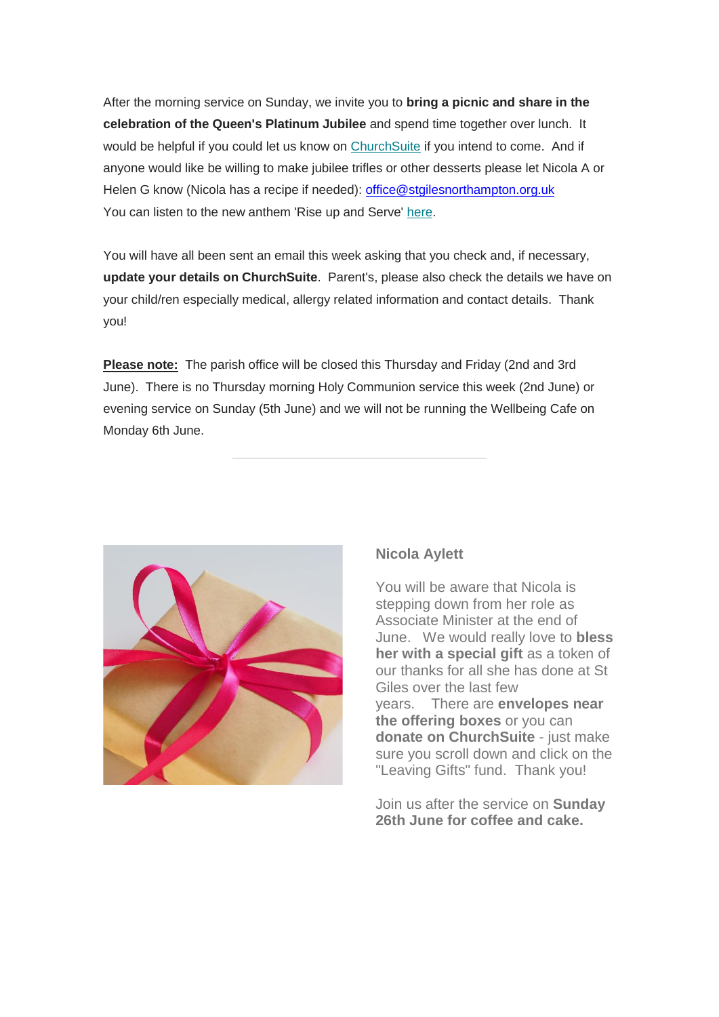After the morning service on Sunday, we invite you to **bring a picnic and share in the celebration of the Queen's Platinum Jubilee** and spend time together over lunch. It would be helpful if you could let us know on [ChurchSuite](https://stgilesnorthampton.churchsuite.com/events/gwh5nfmb) if you intend to come. And if anyone would like be willing to make jubilee trifles or other desserts please let Nicola A or Helen G know (Nicola has a recipe if needed): [office@stgilesnorthampton.org.uk](mailto:office@stgilesnorthampton.org.uk) You can listen to the new anthem 'Rise up and Serve' [here.](https://www.theplatinumjubilee.com/sing/?fbclid=IwAR3qv31b4fqaciguTnF_8NliLOrRFTvIOOew12EYQu-uQmMGZ0EYkpUB2Cg)

You will have all been sent an email this week asking that you check and, if necessary, **update your details on ChurchSuite**. Parent's, please also check the details we have on your child/ren especially medical, allergy related information and contact details. Thank you!

**Please note:** The parish office will be closed this Thursday and Friday (2nd and 3rd June). There is no Thursday morning Holy Communion service this week (2nd June) or evening service on Sunday (5th June) and we will not be running the Wellbeing Cafe on Monday 6th June.



### **Nicola Aylett**

You will be aware that Nicola is stepping down from her role as Associate Minister at the end of June. We would really love to **bless her with a special gift** as a token of our thanks for all she has done at St Giles over the last few years. There are **envelopes near the offering boxes** or you can **donate on ChurchSuite** - just make sure you scroll down and click on the "Leaving Gifts" fund. Thank you!

Join us after the service on **Sunday 26th June for coffee and cake.**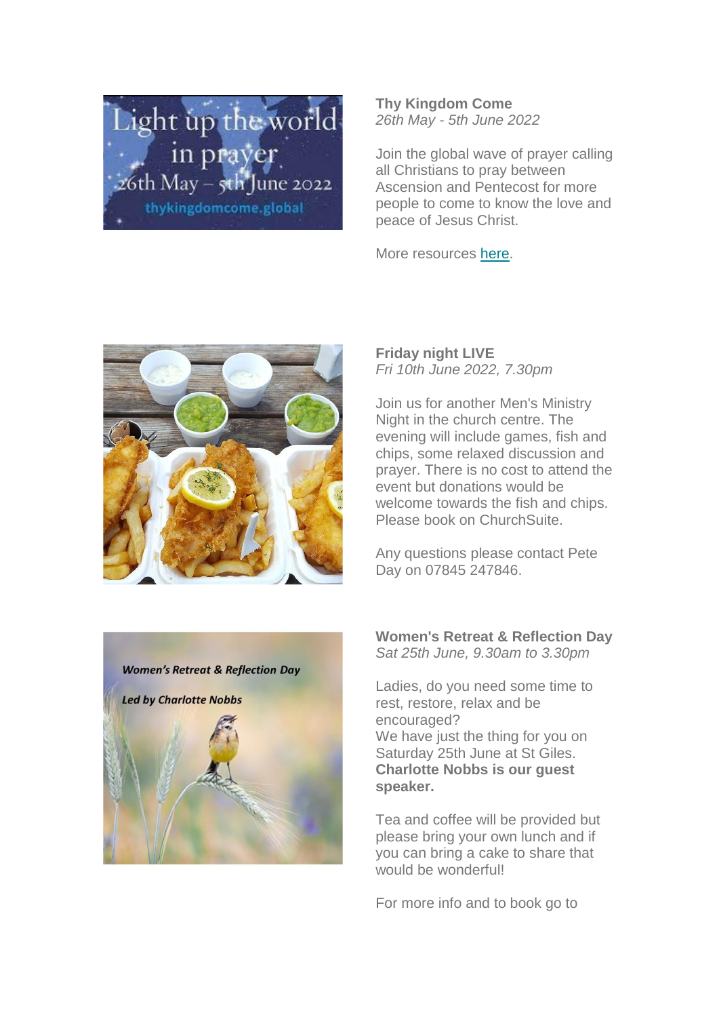

**Thy Kingdom Come** *26th May - 5th June 2022*

Join the global wave of prayer calling all Christians to pray between Ascension and Pentecost for more people to come to know the love and peace of Jesus Christ.

More resources [here.](http://www.thykingdomcome.global/)



**Friday night LIVE**  *Fri 10th June 2022, 7.30pm*

Join us for another Men's Ministry Night in the church centre. The evening will include games, fish and chips, some relaxed discussion and prayer. There is no cost to attend the event but donations would be welcome towards the fish and chips. Please book on ChurchSuite.

Any questions please contact Pete Day on 07845 247846.



**Women's Retreat & Reflection Day** *Sat 25th June, 9.30am to 3.30pm*

Ladies, do you need some time to rest, restore, relax and be encouraged? We have just the thing for you on Saturday 25th June at St Giles. **Charlotte Nobbs is our guest speaker.**

Tea and coffee will be provided but please bring your own lunch and if you can bring a cake to share that would be wonderfull

For more info and to book go to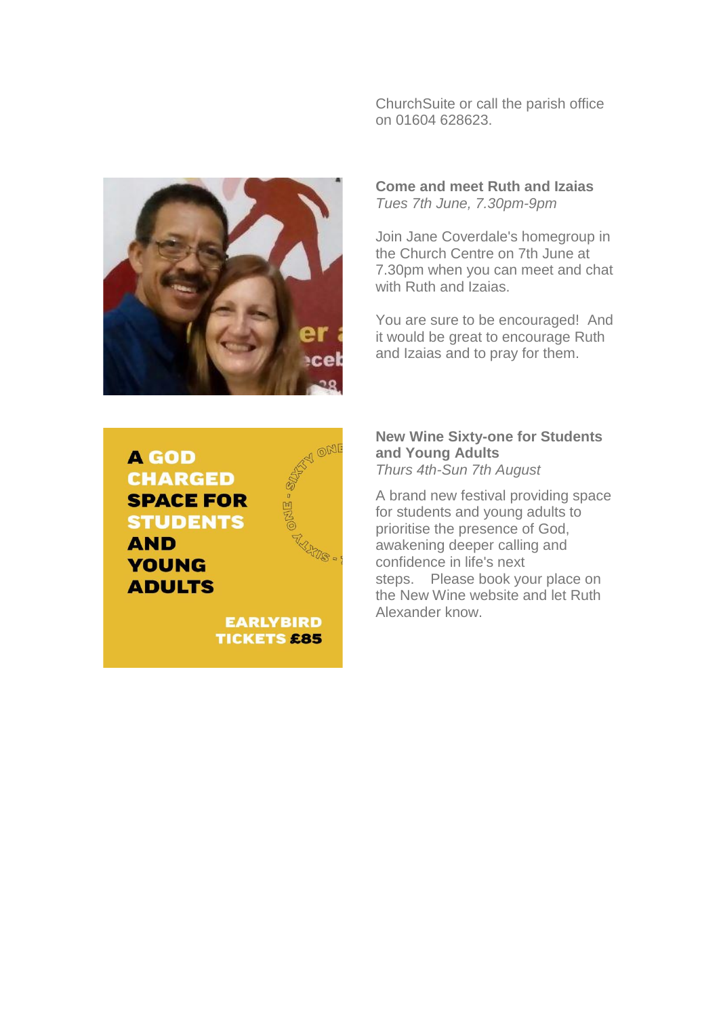ChurchSuite or call the parish office on 01604 628623.



**Come and meet Ruth and Izaias** *Tues 7th June, 7.30pm-9pm*

Join Jane Coverdale's homegroup in the Church Centre on 7th June at 7.30pm when you can meet and chat with Ruth and Izaias.

You are sure to be encouraged! And it would be great to encourage Ruth and Izaias and to pray for them.

# **AGOD CHARGED SPACE FOR STUDENTS AND YOUNG ADULTS**



**EARLYBIRD TICKETS £85**  **New Wine Sixty-one for Students and Young Adults** *Thurs 4th-Sun 7th August*

A brand new festival providing space for students and young adults to prioritise the presence of God, awakening deeper calling and confidence in life's next steps. Please book your place on the New Wine website and let Ruth Alexander know.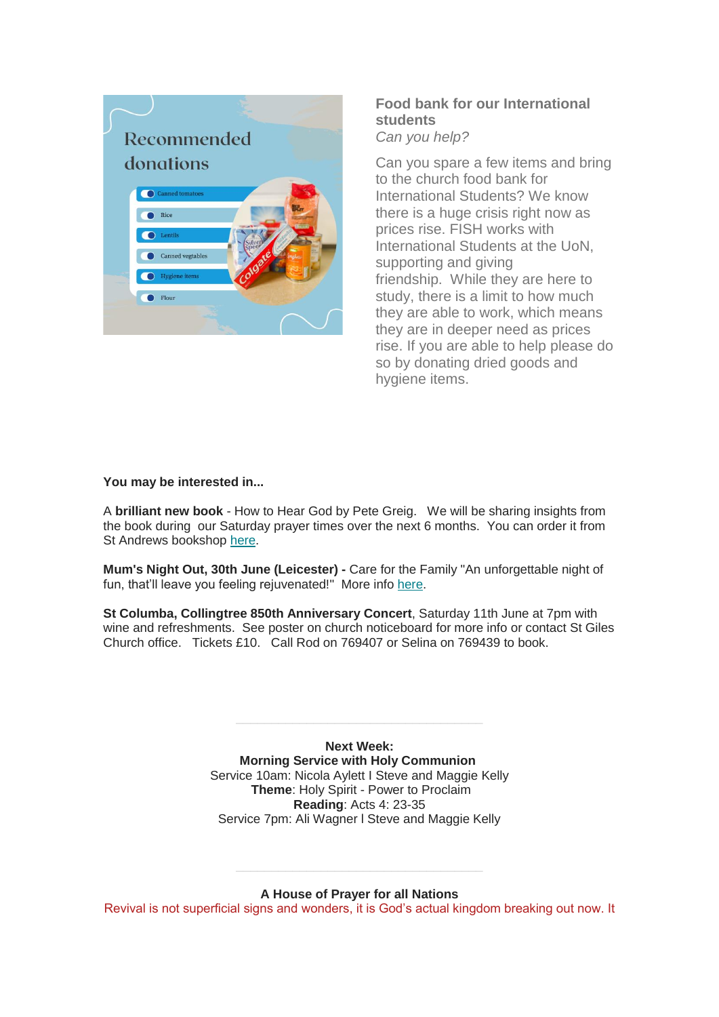

### **Food bank for our International students** *Can you help?*

Can you spare a few items and bring to the church food bank for International Students? We know there is a huge crisis right now as prices rise. FISH works with International Students at the UoN, supporting and giving friendship. While they are here to study, there is a limit to how much they are able to work, which means they are in deeper need as prices rise. If you are able to help please do so by donating dried goods and hygiene items.

#### **You may be interested in...**

A **brilliant new book** - How to Hear God by Pete Greig. We will be sharing insights from the book during our Saturday prayer times over the next 6 months. You can order it from St Andrews bookshop [here.](https://standrewsbookshop.co.uk/product/how-to-hear-god/)

**Mum's Night Out, 30th June (Leicester) -** Care for the Family "An unforgettable night of fun, that'll leave you feeling rejuvenated!" More info [here.](https://www.careforthefamily.org.uk/events/tourevents/mums-night-out/)

**St Columba, Collingtree 850th Anniversary Concert**, Saturday 11th June at 7pm with wine and refreshments. See poster on church noticeboard for more info or contact St Giles Church office. Tickets £10. Call Rod on 769407 or Selina on 769439 to book.

> **Next Week: Morning Service with Holy Communion** Service 10am: Nicola Aylett I Steve and Maggie Kelly **Theme**: Holy Spirit - Power to Proclaim **Reading**: Acts 4: 23-35 Service 7pm: Ali Wagner l Steve and Maggie Kelly

**A House of Prayer for all Nations** Revival is not superficial signs and wonders, it is God's actual kingdom breaking out now. It